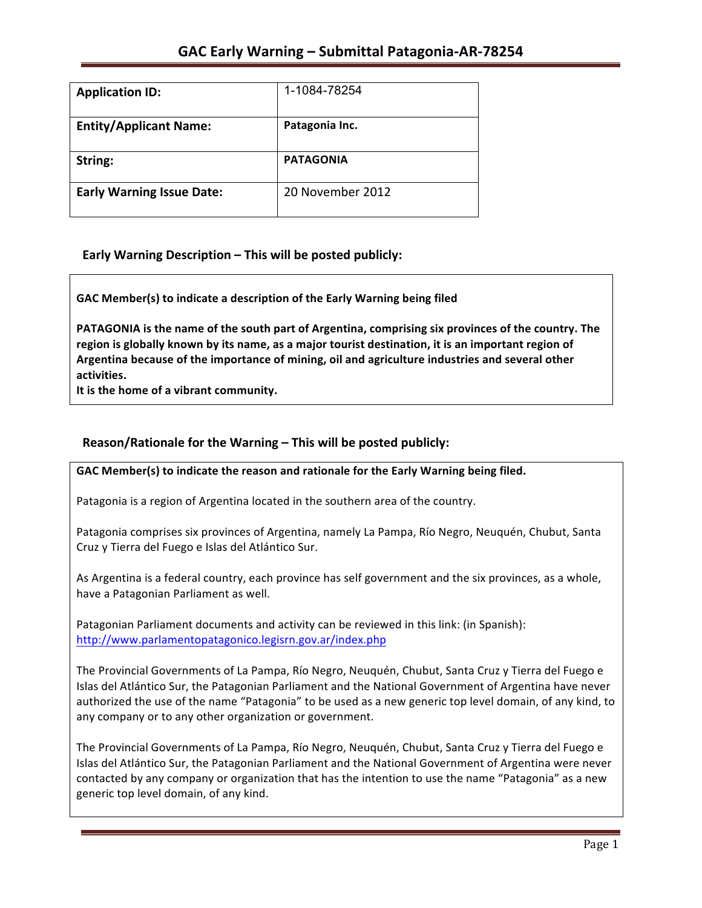| <b>Application ID:</b>           | 1-1084-78254     |
|----------------------------------|------------------|
| <b>Entity/Applicant Name:</b>    | Patagonia Inc.   |
| String:                          | <b>PATAGONIA</b> |
| <b>Early Warning Issue Date:</b> | 20 November 2012 |

## **Early Warning Description – This will be posted publicly:**

GAC Member(s) to indicate a description of the Early Warning being filed

**PATAGONIA** is the name of the south part of Argentina, comprising six provinces of the country. The region is globally known by its name, as a major tourist destination, it is an important region of Argentina because of the importance of mining, oil and agriculture industries and several other **activities.**

It is the home of a vibrant community.

### **Reason/Rationale for the Warning – This will be posted publicly:**

GAC Member(s) to indicate the reason and rationale for the Early Warning being filed.

Patagonia is a region of Argentina located in the southern area of the country.

Patagonia comprises six provinces of Argentina, namely La Pampa, Río Negro, Neuquén, Chubut, Santa Cruz y Tierra del Fuego e Islas del Atlántico Sur.

As Argentina is a federal country, each province has self government and the six provinces, as a whole, have a Patagonian Parliament as well.

Patagonian Parliament documents and activity can be reviewed in this link: (in Spanish): http://www.parlamentopatagonico.legisrn.gov.ar/index.php

The Provincial Governments of La Pampa, Río Negro, Neuquén, Chubut, Santa Cruz y Tierra del Fuego e Islas del Atlántico Sur, the Patagonian Parliament and the National Government of Argentina have never authorized the use of the name "Patagonia" to be used as a new generic top level domain, of any kind, to any company or to any other organization or government.

The Provincial Governments of La Pampa, Río Negro, Neuquén, Chubut, Santa Cruz y Tierra del Fuego e Islas del Atlántico Sur, the Patagonian Parliament and the National Government of Argentina were never contacted by any company or organization that has the intention to use the name "Patagonia" as a new generic top level domain, of any kind.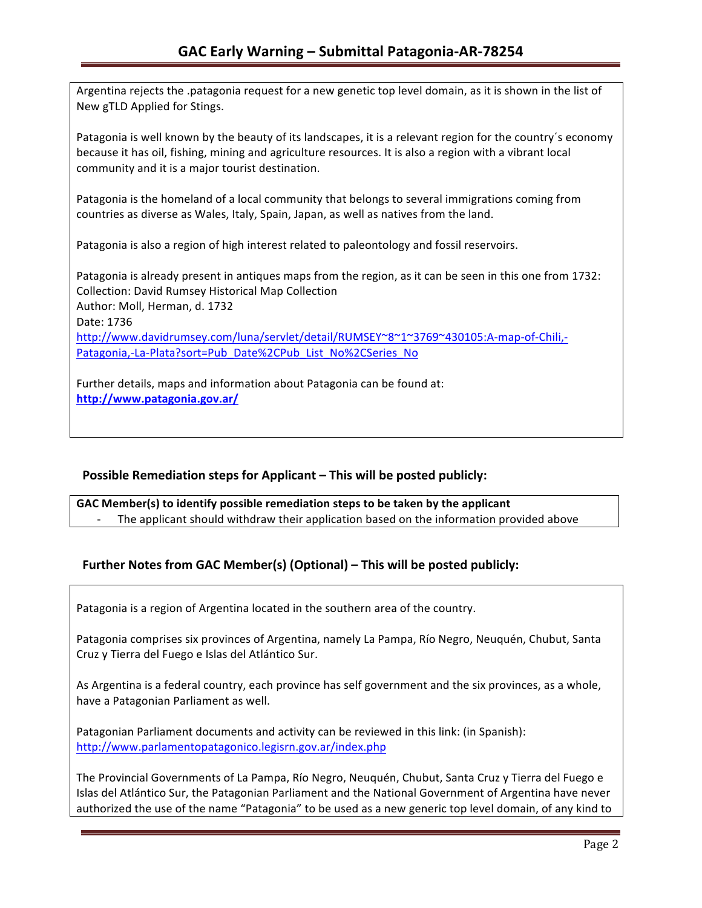Argentina rejects the .patagonia request for a new genetic top level domain, as it is shown in the list of New gTLD Applied for Stings. Patagonia is well known by the beauty of its landscapes, it is a relevant region for the country's economy because it has oil, fishing, mining and agriculture resources. It is also a region with a vibrant local community and it is a major tourist destination.

Patagonia is the homeland of a local community that belongs to several immigrations coming from countries as diverse as Wales, Italy, Spain, Japan, as well as natives from the land.

Patagonia is also a region of high interest related to paleontology and fossil reservoirs.

Patagonia is already present in antiques maps from the region, as it can be seen in this one from 1732: Collection: David Rumsey Historical Map Collection Author: Moll, Herman, d. 1732 Date: 1736 http://www.davidrumsey.com/luna/servlet/detail/RUMSEY~8~1~3769~430105:A-map-of-Chili,- Patagonia,-La-Plata?sort=Pub\_Date%2CPub\_List\_No%2CSeries\_No

Further details, maps and information about Patagonia can be found at: **http://www.patagonia.gov.ar/**

## **Possible Remediation steps for Applicant – This will be posted publicly:**

GAC Member(s) to identify possible remediation steps to be taken by the applicant The applicant should withdraw their application based on the information provided above

# Further Notes from GAC Member(s) (Optional) – This will be posted publicly:

Patagonia is a region of Argentina located in the southern area of the country.

Patagonia comprises six provinces of Argentina, namely La Pampa, Río Negro, Neuquén, Chubut, Santa Cruz y Tierra del Fuego e Islas del Atlántico Sur.

As Argentina is a federal country, each province has self government and the six provinces, as a whole, have a Patagonian Parliament as well.

Patagonian Parliament documents and activity can be reviewed in this link: (in Spanish): http://www.parlamentopatagonico.legisrn.gov.ar/index.php

The Provincial Governments of La Pampa, Río Negro, Neuquén, Chubut, Santa Cruz y Tierra del Fuego e Islas del Atlántico Sur, the Patagonian Parliament and the National Government of Argentina have never authorized the use of the name "Patagonia" to be used as a new generic top level domain, of any kind to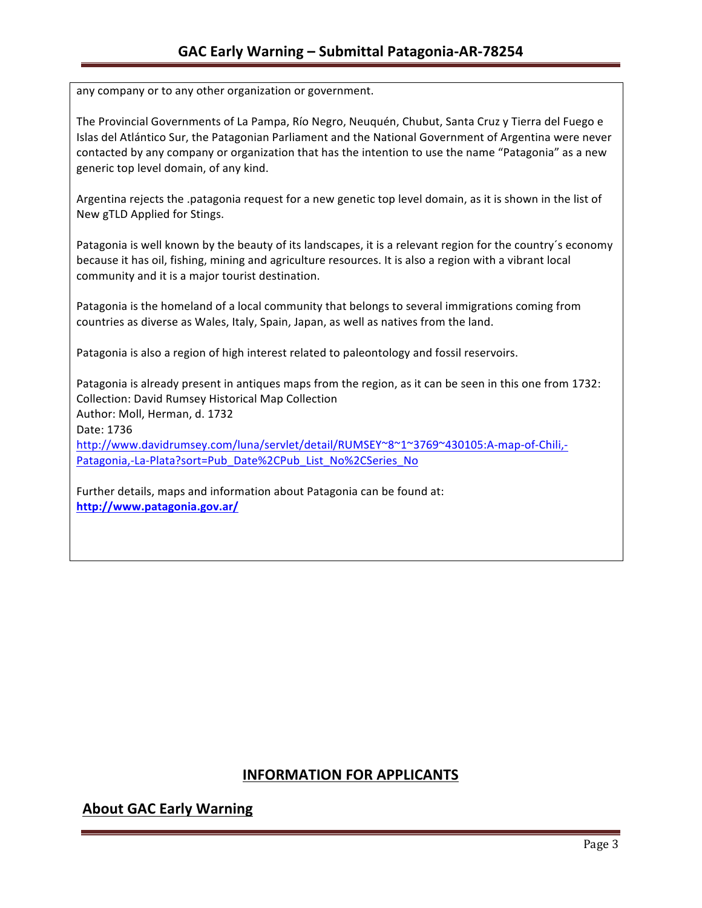any company or to any other organization or government.

The Provincial Governments of La Pampa, Río Negro, Neuquén, Chubut, Santa Cruz y Tierra del Fuego e Islas del Atlántico Sur, the Patagonian Parliament and the National Government of Argentina were never contacted by any company or organization that has the intention to use the name "Patagonia" as a new generic top level domain, of any kind.

Argentina rejects the .patagonia request for a new genetic top level domain, as it is shown in the list of New gTLD Applied for Stings.

Patagonia is well known by the beauty of its landscapes, it is a relevant region for the country's economy because it has oil, fishing, mining and agriculture resources. It is also a region with a vibrant local community and it is a major tourist destination.

Patagonia is the homeland of a local community that belongs to several immigrations coming from countries as diverse as Wales, Italy, Spain, Japan, as well as natives from the land.

Patagonia is also a region of high interest related to paleontology and fossil reservoirs.

Patagonia is already present in antiques maps from the region, as it can be seen in this one from 1732: Collection: David Rumsey Historical Map Collection Author: Moll, Herman, d. 1732 Date: 1736 http://www.davidrumsey.com/luna/servlet/detail/RUMSEY~8~1~3769~430105:A-map-of-Chili,- Patagonia,-La-Plata?sort=Pub\_Date%2CPub\_List\_No%2CSeries\_No

Further details, maps and information about Patagonia can be found at: **http://www.patagonia.gov.ar/**

## **INFORMATION FOR APPLICANTS**

## **About GAC Early Warning**